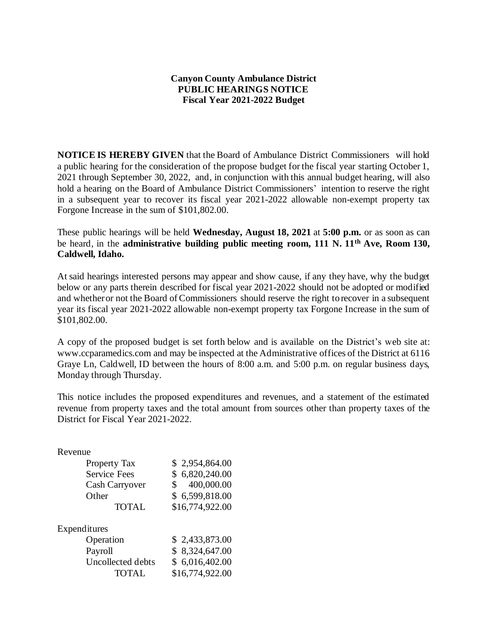## **Canyon County Ambulance District PUBLIC HEARINGS NOTICE Fiscal Year 2021-2022 Budget**

**NOTICE IS HEREBY GIVEN** that the Board of Ambulance District Commissioners will hold a public hearing for the consideration of the propose budget for the fiscal year starting October 1, 2021 through September 30, 2022, and, in conjunction with this annual budget hearing, will also hold a hearing on the Board of Ambulance District Commissioners' intention to reserve the right in a subsequent year to recover its fiscal year 2021-2022 allowable non-exempt property tax Forgone Increase in the sum of \$101,802.00.

These public hearings will be held **Wednesday, August 18, 2021** at **5:00 p.m.** or as soon as can be heard, in the **administrative building public meeting room, 111 N. 11th Ave, Room 130, Caldwell, Idaho.**

At said hearings interested persons may appear and show cause, if any they have, why the budget below or any parts therein described for fiscal year 2021-2022 should not be adopted or modified and whether or not the Board of Commissioners should reserve the right to recover in a subsequent year its fiscal year 2021-2022 allowable non-exempt property tax Forgone Increase in the sum of \$101,802.00.

A copy of the proposed budget is set forth below and is available on the District's web site at: www.ccparamedics.com and may be inspected at the Administrative offices of the District at 6116 Graye Ln, Caldwell, ID between the hours of 8:00 a.m. and 5:00 p.m. on regular business days, Monday through Thursday.

This notice includes the proposed expenditures and revenues, and a statement of the estimated revenue from property taxes and the total amount from sources other than property taxes of the District for Fiscal Year 2021-2022.

## Revenue

| <b>Property Tax</b><br><b>Service Fees</b><br>Cash Carryover<br>Other<br><b>TOTAL</b> | \$2,954,864.00<br>\$6,820,240.00<br>400,000.00<br>\$<br>\$6,599,818.00<br>\$16,774,922.00 |
|---------------------------------------------------------------------------------------|-------------------------------------------------------------------------------------------|
| Expenditures                                                                          |                                                                                           |
| Operation                                                                             | \$2,433,873.00                                                                            |
| Payroll                                                                               | \$8,324,647.00                                                                            |
| Uncollected debts<br><b>TOTAL</b>                                                     | \$6,016,402.00<br>\$16,774,922.00                                                         |